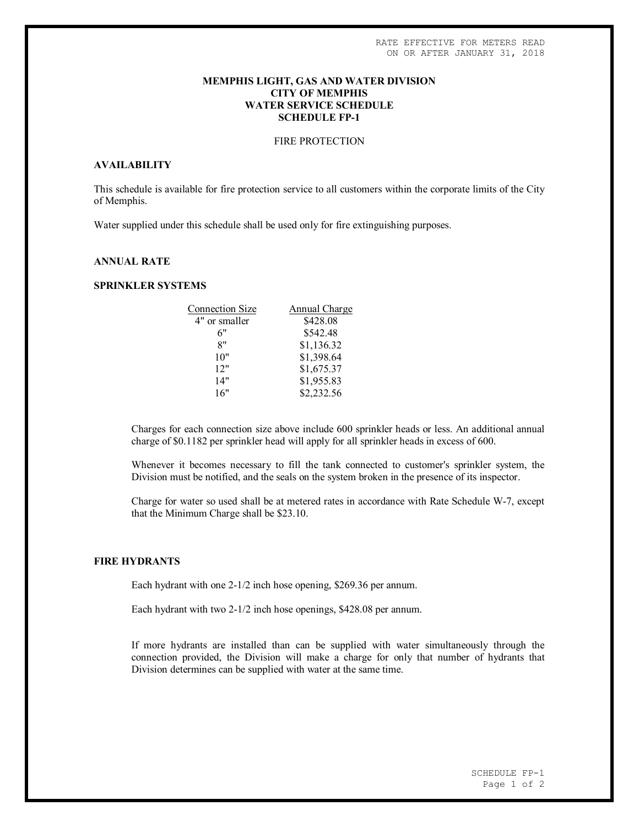#### **MEMPHIS LIGHT, GAS AND WATER DIVISION CITY OF MEMPHIS WATER SERVICE SCHEDULE SCHEDULE FP-1**

## FIRE PROTECTION

#### **AVAILABILITY**

This schedule is available for fire protection service to all customers within the corporate limits of the City of Memphis.

Water supplied under this schedule shall be used only for fire extinguishing purposes.

## **ANNUAL RATE**

## **SPRINKLER SYSTEMS**

| <b>Connection Size</b> | Annual Charge |
|------------------------|---------------|
| 4" or smaller          | \$428.08      |
| 6"                     | \$542.48      |
| 8"                     | \$1,136.32    |
| 10"                    | \$1,398.64    |
| 12"                    | \$1,675.37    |
| 14"                    | \$1,955.83    |
| 16"                    | \$2,232.56    |
|                        |               |

Charges for each connection size above include 600 sprinkler heads or less. An additional annual charge of \$0.1182 per sprinkler head will apply for all sprinkler heads in excess of 600.

Whenever it becomes necessary to fill the tank connected to customer's sprinkler system, the Division must be notified, and the seals on the system broken in the presence of its inspector.

Charge for water so used shall be at metered rates in accordance with Rate Schedule W-7, except that the Minimum Charge shall be \$23.10.

## **FIRE HYDRANTS**

Each hydrant with one 2-1/2 inch hose opening, \$269.36 per annum.

Each hydrant with two 2-1/2 inch hose openings, \$428.08 per annum.

If more hydrants are installed than can be supplied with water simultaneously through the connection provided, the Division will make a charge for only that number of hydrants that Division determines can be supplied with water at the same time.